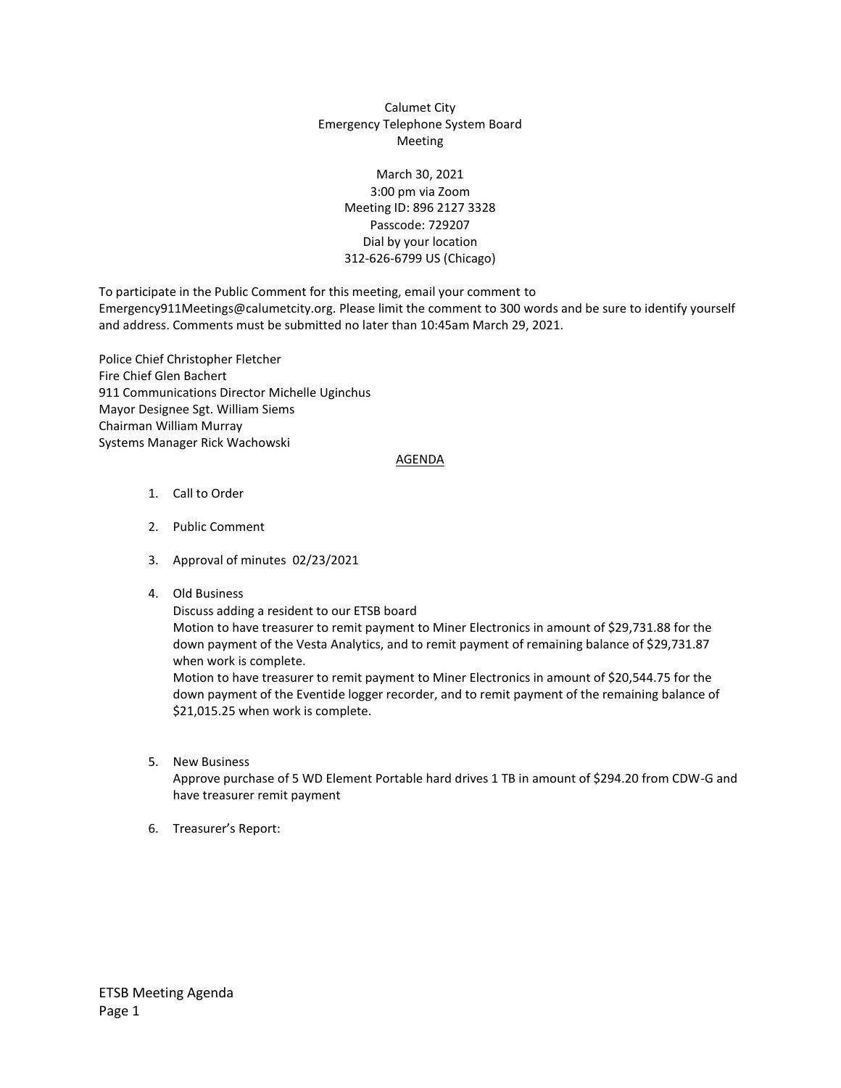## Calumet City Emergency Telephone System Board Meeting

## March 30, 2021 3:00 pm via Zoom Meeting ID: 896 2127 3328 Passcode: 729207 Dial by your location 312-626-6799 US (Chicago)

To participate in the Public Comment for this meeting, email your comment to Emergency911Meetings@calumetcity.org. Please limit the comment to 300 words and be sure to identify yourself and address. Comments must be submitted no later than 10:45am March 29, 2021.

Police Chief Christopher Fletcher Fire Chief Glen Bachert 911 Communications Director Michelle Uginchus Mayor Designee Sgt. William Siems Chairman William Murray Systems Manager Rick Wachowski

## AGENDA

- 1. Call to Order
- 2. Public Comment
- 3. Approval of minutes 02/23/2021
- 4. Old Business

Discuss adding a resident to our ETSB board

Motion to have treasurer to remit payment to Miner Electronics in amount of \$29,731.88 for the down payment of the Vesta Analytics, and to remit payment of remaining balance of \$29,731.87 when work is complete.

Motion to have treasurer to remit payment to Miner Electronics in amount of \$20,544.75 for the down payment of the Eventide logger recorder, and to remit payment of the remaining balance of \$21,015.25 when work is complete.

5. New Business

Approve purchase of 5 WD Element Portable hard drives 1 TB in amount of \$294.20 from CDW-G and have treasurer remit payment

6. Treasurer's Report: